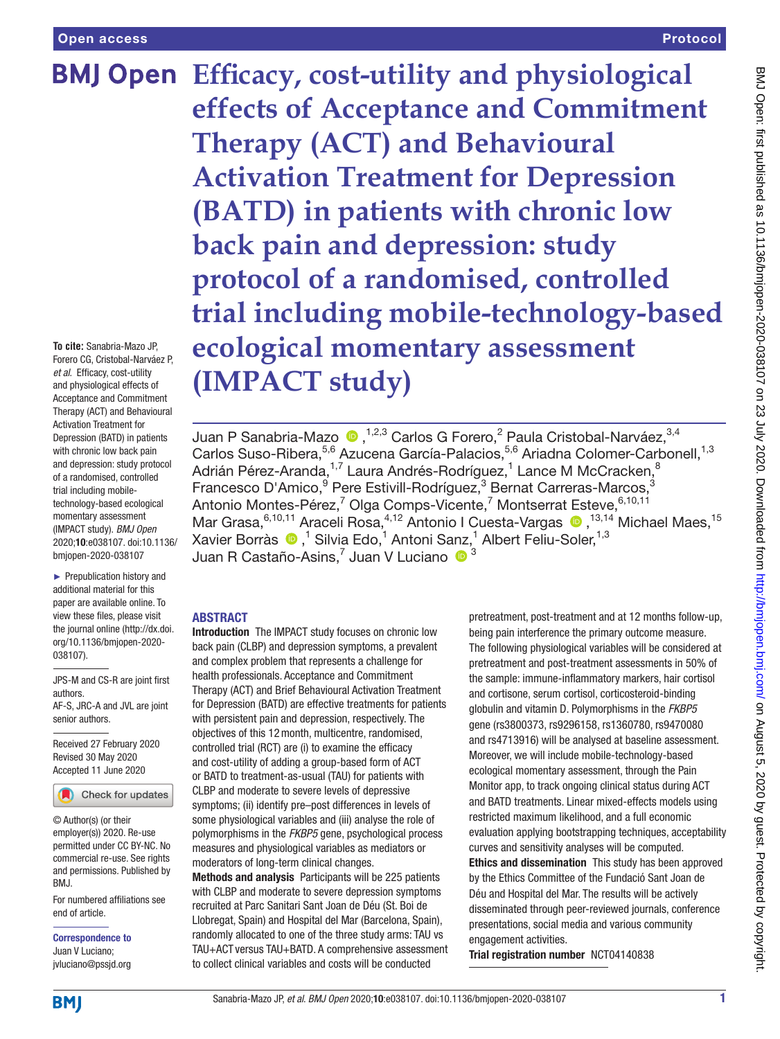**To cite:** Sanabria-Mazo JP, Forero CG, Cristobal-Narváez P, *et al*. Efficacy, cost-utility and physiological effects of Acceptance and Commitment Therapy (ACT) and Behavioural Activation Treatment for Depression (BATD) in patients with chronic low back pain and depression: study protocol of a randomised, controlled trial including mobiletechnology-based ecological momentary assessment (IMPACT study). *BMJ Open* 2020;10:e038107. doi:10.1136/ bmjopen-2020-038107

► Prepublication history and additional material for this paper are available online. To view these files, please visit the journal online (http://dx.doi. org/10.1136/bmjopen-2020- 038107).

JPS-M and CS-R are joint first authors. AF-S, JRC-A and JVL are joint senior authors.

Received 27 February 2020 Revised 30 May 2020 Accepted 11 June 2020



© Author(s) (or their employer(s)) 2020. Re-use permitted under CC BY-NC. No commercial re-use. See rights and permissions. Published by BMJ.

For numbered affiliations see end of article.

Correspondence to Juan V Luciano; jvluciano@pssjd.org

**BMJ Open Efficacy, cost-utility and physiological effects of Acceptance and Commitment Therapy (ACT) and Behavioural Activation Treatment for Depression (BATD) in patients with chronic low back pain and depression: study protocol of a randomised, controlled trial including mobile-technology-based ecological momentary assessment (IMPACT study)**

> Juan P Sanabria-Mazo  $\, \bullet \, ,^{1,2,3}$  Carlos G Forero,<sup>2</sup> Paula Cristobal-Narváez, $^{3,4}$ Carlos Suso-Ribera,<sup>5,6</sup> Azucena García-Palacios,<sup>5,6</sup> Ariadna Colomer-Carbonell,<sup>1,3</sup> Adrián Pérez-Aranda,<sup>1,7</sup> Laura Andrés-Rodríguez,<sup>1</sup> Lance M McCracken,<sup>8</sup> Francesco D'Amico, <sup>9</sup> Pere Estivill-Rodríguez, <sup>3</sup> Bernat Carreras-Marcos, <sup>3</sup> Antonio Montes-Pérez,<sup>7</sup> Olga Comps-Vicente,<sup>7</sup> Montserrat Esteve, 6,10,11 Mar Grasa, <sup>6,10,11</sup> Araceli Rosa, <sup>4,12</sup> Antonio I Cuesta-Vargas (D, <sup>13,14</sup> Michael Maes, <sup>15</sup> Xavier Borràs (D,<sup>1</sup> Silvia Edo,<sup>1</sup> Antoni Sanz,<sup>1</sup> Albert Feliu-Soler,<sup>1,3</sup> Juan R Castaño-Asins, $^7$  Juan V Luciano  $\,\bullet\,{}^3$

# ABSTRACT

Introduction The IMPACT study focuses on chronic low back pain (CLBP) and depression symptoms, a prevalent and complex problem that represents a challenge for health professionals. Acceptance and Commitment Therapy (ACT) and Brief Behavioural Activation Treatment for Depression (BATD) are effective treatments for patients with persistent pain and depression, respectively. The objectives of this 12month, multicentre, randomised, controlled trial (RCT) are (i) to examine the efficacy and cost-utility of adding a group-based form of ACT or BATD to treatment-as-usual (TAU) for patients with CLBP and moderate to severe levels of depressive symptoms; (ii) identify pre–post differences in levels of some physiological variables and (iii) analyse the role of polymorphisms in the *FKBP5* gene, psychological process measures and physiological variables as mediators or moderators of long-term clinical changes.

Methods and analysis Participants will be 225 patients with CLBP and moderate to severe depression symptoms recruited at Parc Sanitari Sant Joan de Déu (St. Boi de Llobregat, Spain) and Hospital del Mar (Barcelona, Spain), randomly allocated to one of the three study arms: TAU vs TAU+ACT versus TAU+BATD. A comprehensive assessment to collect clinical variables and costs will be conducted

pretreatment, post-treatment and at 12 months follow-up, being pain interference the primary outcome measure. The following physiological variables will be considered at pretreatment and post-treatment assessments in 50% of the sample: immune-inflammatory markers, hair cortisol and cortisone, serum cortisol, corticosteroid-binding globulin and vitamin D. Polymorphisms in the *FKBP5* gene (rs3800373, rs9296158, rs1360780, rs9470080 and rs4713916) will be analysed at baseline assessment. Moreover, we will include mobile-technology-based ecological momentary assessment, through the Pain Monitor app, to track ongoing clinical status during ACT and BATD treatments. Linear mixed-effects models using restricted maximum likelihood, and a full economic evaluation applying bootstrapping techniques, acceptability curves and sensitivity analyses will be computed. Ethics and dissemination This study has been approved by the Ethics Committee of the Fundació Sant Joan de Déu and Hospital del Mar. The results will be actively disseminated through peer-reviewed journals, conference presentations, social media and various community engagement activities. Trial registration number <NCT04140838>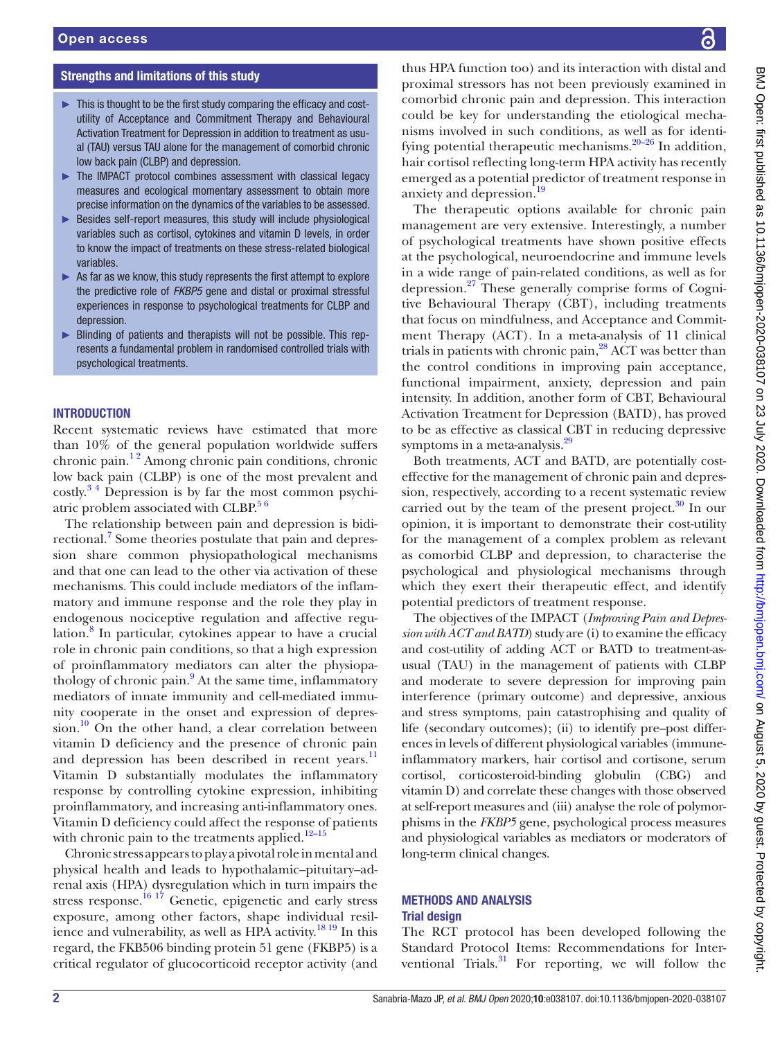#### Strengths and limitations of this study

- ► This is thought to be the first study comparing the efficacy and costutility of Acceptance and Commitment Therapy and Behavioural Activation Treatment for Depression in addition to treatment as usual (TAU) versus TAU alone for the management of comorbid chronic low back pain (CLBP) and depression.
- ► The IMPACT protocol combines assessment with classical legacy measures and ecological momentary assessment to obtain more precise information on the dynamics of the variables to be assessed.
- ► Besides self-report measures, this study will include physiological variables such as cortisol, cytokines and vitamin D levels, in order to know the impact of treatments on these stress-related biological variables.
- ► As far as we know, this study represents the first attempt to explore the predictive role of *FKBP5* gene and distal or proximal stressful experiences in response to psychological treatments for CLBP and depression.
- ► Blinding of patients and therapists will not be possible. This represents a fundamental problem in randomised controlled trials with psychological treatments.

#### **INTRODUCTION**

Recent systematic reviews have estimated that more than 10% of the general population worldwide suffers chronic pain.<sup>12</sup> Among chronic pain conditions, chronic low back pain (CLBP) is one of the most prevalent and costly.[3 4](#page-11-1) Depression is by far the most common psychiatric problem associated with  $CLBP<sup>56</sup>$ 

The relationship between pain and depression is bidi-rectional.<sup>[7](#page-11-3)</sup> Some theories postulate that pain and depression share common physiopathological mechanisms and that one can lead to the other via activation of these mechanisms. This could include mediators of the inflammatory and immune response and the role they play in endogenous nociceptive regulation and affective regu-lation.<sup>[8](#page-11-4)</sup> In particular, cytokines appear to have a crucial role in chronic pain conditions, so that a high expression of proinflammatory mediators can alter the physiopa-thology of chronic pain.<sup>[9](#page-11-5)</sup> At the same time, inflammatory mediators of innate immunity and cell-mediated immunity cooperate in the onset and expression of depres $sion.<sup>10</sup>$  On the other hand, a clear correlation between vitamin D deficiency and the presence of chronic pain and depression has been described in recent years.<sup>11</sup> Vitamin D substantially modulates the inflammatory response by controlling cytokine expression, inhibiting proinflammatory, and increasing anti-inflammatory ones. Vitamin D deficiency could affect the response of patients with chronic pain to the treatments applied.<sup>12-15</sup>

Chronic stress appears to play a pivotal role in mental and physical health and leads to hypothalamic–pituitary–adrenal axis (HPA) dysregulation which in turn impairs the stress response.<sup>[16 17](#page-11-9)</sup> Genetic, epigenetic and early stress exposure, among other factors, shape individual resil-ience and vulnerability, as well as HPA activity.<sup>[18 19](#page-11-10)</sup> In this regard, the FKB506 binding protein 51 gene (FKBP5) is a critical regulator of glucocorticoid receptor activity (and

thus HPA function too) and its interaction with distal and proximal stressors has not been previously examined in comorbid chronic pain and depression. This interaction could be key for understanding the etiological mechanisms involved in such conditions, as well as for identifying potential therapeutic mechanisms. $20-26$  In addition, hair cortisol reflecting long-term HPA activity has recently emerged as a potential predictor of treatment response in anxiety and depression.<sup>[19](#page-11-12)</sup>

The therapeutic options available for chronic pain management are very extensive. Interestingly, a number of psychological treatments have shown positive effects at the psychological, neuroendocrine and immune levels in a wide range of pain-related conditions, as well as for depression.[27](#page-11-13) These generally comprise forms of Cognitive Behavioural Therapy (CBT), including treatments that focus on mindfulness, and Acceptance and Commitment Therapy (ACT). In a meta-analysis of 11 clinical trials in patients with chronic pain,<sup>[28](#page-11-14)</sup> ACT was better than the control conditions in improving pain acceptance, functional impairment, anxiety, depression and pain intensity. In addition, another form of CBT, Behavioural Activation Treatment for Depression (BATD), has proved to be as effective as classical CBT in reducing depressive symptoms in a meta-analysis.<sup>[29](#page-11-15)</sup>

Both treatments, ACT and BATD, are potentially costeffective for the management of chronic pain and depression, respectively, according to a recent systematic review carried out by the team of the present project. $30 \text{ In our}$  $30 \text{ In our}$ opinion, it is important to demonstrate their cost-utility for the management of a complex problem as relevant as comorbid CLBP and depression, to characterise the psychological and physiological mechanisms through which they exert their therapeutic effect, and identify potential predictors of treatment response.

The objectives of the IMPACT (*Improving Pain and Depression with ACT and BATD*) study are (i) to examine the efficacy and cost-utility of adding ACT or BATD to treatment-asusual (TAU) in the management of patients with CLBP and moderate to severe depression for improving pain interference (primary outcome) and depressive, anxious and stress symptoms, pain catastrophising and quality of life (secondary outcomes); (ii) to identify pre–post differences in levels of different physiological variables (immuneinflammatory markers, hair cortisol and cortisone, serum cortisol, corticosteroid-binding globulin (CBG) and vitamin D) and correlate these changes with those observed at self-report measures and (iii) analyse the role of polymorphisms in the *FKBP5* gene, psychological process measures and physiological variables as mediators or moderators of long-term clinical changes.

#### METHODS AND ANALYSIS Trial design

The RCT protocol has been developed following the Standard Protocol Items: Recommendations for Interventional Trials. $31$  For reporting, we will follow the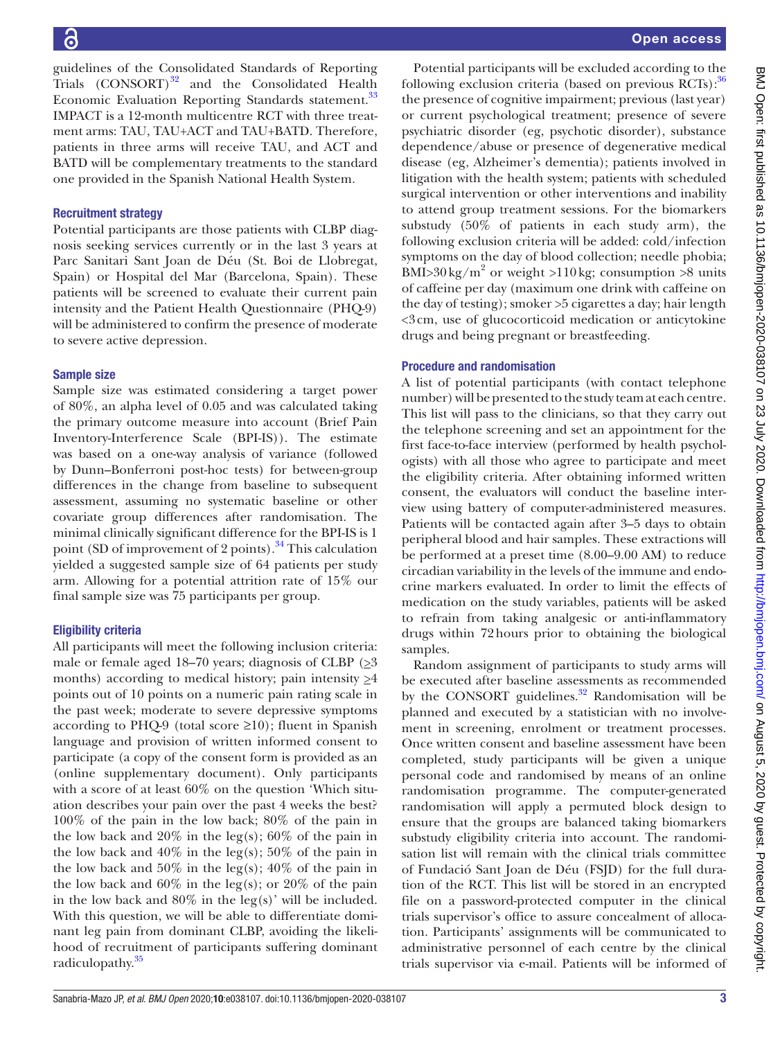guidelines of the Consolidated Standards of Reporting Trials  $(CONSORT)^{32}$  and the Consolidated Health Economic Evaluation Reporting Standards statement.<sup>33</sup> IMPACT is a 12-month multicentre RCT with three treatment arms: TAU, TAU+ACT and TAU+BATD. Therefore, patients in three arms will receive TAU, and ACT and BATD will be complementary treatments to the standard one provided in the Spanish National Health System.

# Recruitment strategy

Potential participants are those patients with CLBP diagnosis seeking services currently or in the last 3 years at Parc Sanitari Sant Joan de Déu (St. Boi de Llobregat, Spain) or Hospital del Mar (Barcelona, Spain). These patients will be screened to evaluate their current pain intensity and the Patient Health Questionnaire (PHQ-9) will be administered to confirm the presence of moderate to severe active depression.

# Sample size

Sample size was estimated considering a target power of 80%, an alpha level of 0.05 and was calculated taking the primary outcome measure into account (Brief Pain Inventory-Interference Scale (BPI-IS)). The estimate was based on a one-way analysis of variance (followed by Dunn–Bonferroni post-hoc tests) for between-group differences in the change from baseline to subsequent assessment, assuming no systematic baseline or other covariate group differences after randomisation. The minimal clinically significant difference for the BPI-IS is 1 point (SD of improvement of 2 points).<sup>[34](#page-11-20)</sup> This calculation yielded a suggested sample size of 64 patients per study arm. Allowing for a potential attrition rate of 15% our final sample size was 75 participants per group.

# Eligibility criteria

All participants will meet the following inclusion criteria: male or female aged 18–70 years; diagnosis of CLBP  $(≥3)$ months) according to medical history; pain intensity  $\geq 4$ points out of 10 points on a numeric pain rating scale in the past week; moderate to severe depressive symptoms according to PHQ-9 (total score  $\geq 10$ ); fluent in Spanish language and provision of written informed consent to participate (a copy of the consent form is provided as an ([online supplementary document\)](https://dx.doi.org/10.1136/bmjopen-2020-038107). Only participants with a score of at least 60% on the question 'Which situation describes your pain over the past 4 weeks the best? 100% of the pain in the low back; 80% of the pain in the low back and  $20\%$  in the leg(s);  $60\%$  of the pain in the low back and  $40\%$  in the leg(s);  $50\%$  of the pain in the low back and  $50\%$  in the leg(s);  $40\%$  of the pain in the low back and  $60\%$  in the leg(s); or  $20\%$  of the pain in the low back and  $80\%$  in the leg(s)' will be included. With this question, we will be able to differentiate dominant leg pain from dominant CLBP, avoiding the likelihood of recruitment of participants suffering dominant radiculopathy.<sup>[35](#page-11-21)</sup>

Potential participants will be excluded according to the following exclusion criteria (based on previous  $RCTs$ ):  $36$ the presence of cognitive impairment; previous (last year) or current psychological treatment; presence of severe psychiatric disorder (eg, psychotic disorder), substance dependence/abuse or presence of degenerative medical disease (eg, Alzheimer's dementia); patients involved in litigation with the health system; patients with scheduled surgical intervention or other interventions and inability to attend group treatment sessions. For the biomarkers substudy (50% of patients in each study arm), the following exclusion criteria will be added: cold/infection symptoms on the day of blood collection; needle phobia; BMI>30 kg/m<sup>2</sup> or weight >110 kg; consumption >8 units of caffeine per day (maximum one drink with caffeine on the day of testing); smoker >5 cigarettes a day; hair length <3cm, use of glucocorticoid medication or anticytokine drugs and being pregnant or breastfeeding.

# Procedure and randomisation

A list of potential participants (with contact telephone number) will be presented to the study team at each centre. This list will pass to the clinicians, so that they carry out the telephone screening and set an appointment for the first face-to-face interview (performed by health psychologists) with all those who agree to participate and meet the eligibility criteria. After obtaining informed written consent, the evaluators will conduct the baseline interview using battery of computer-administered measures. Patients will be contacted again after 3–5 days to obtain peripheral blood and hair samples. These extractions will be performed at a preset time (8.00–9.00 AM) to reduce circadian variability in the levels of the immune and endocrine markers evaluated. In order to limit the effects of medication on the study variables, patients will be asked to refrain from taking analgesic or anti-inflammatory drugs within 72hours prior to obtaining the biological samples.

Random assignment of participants to study arms will be executed after baseline assessments as recommended by the CONSORT guidelines. $32$  Randomisation will be planned and executed by a statistician with no involvement in screening, enrolment or treatment processes. Once written consent and baseline assessment have been completed, study participants will be given a unique personal code and randomised by means of an online randomisation programme. The computer-generated randomisation will apply a permuted block design to ensure that the groups are balanced taking biomarkers substudy eligibility criteria into account. The randomisation list will remain with the clinical trials committee of Fundació Sant Joan de Déu (FSJD) for the full duration of the RCT. This list will be stored in an encrypted file on a password-protected computer in the clinical trials supervisor's office to assure concealment of allocation. Participants' assignments will be communicated to administrative personnel of each centre by the clinical trials supervisor via e-mail. Patients will be informed of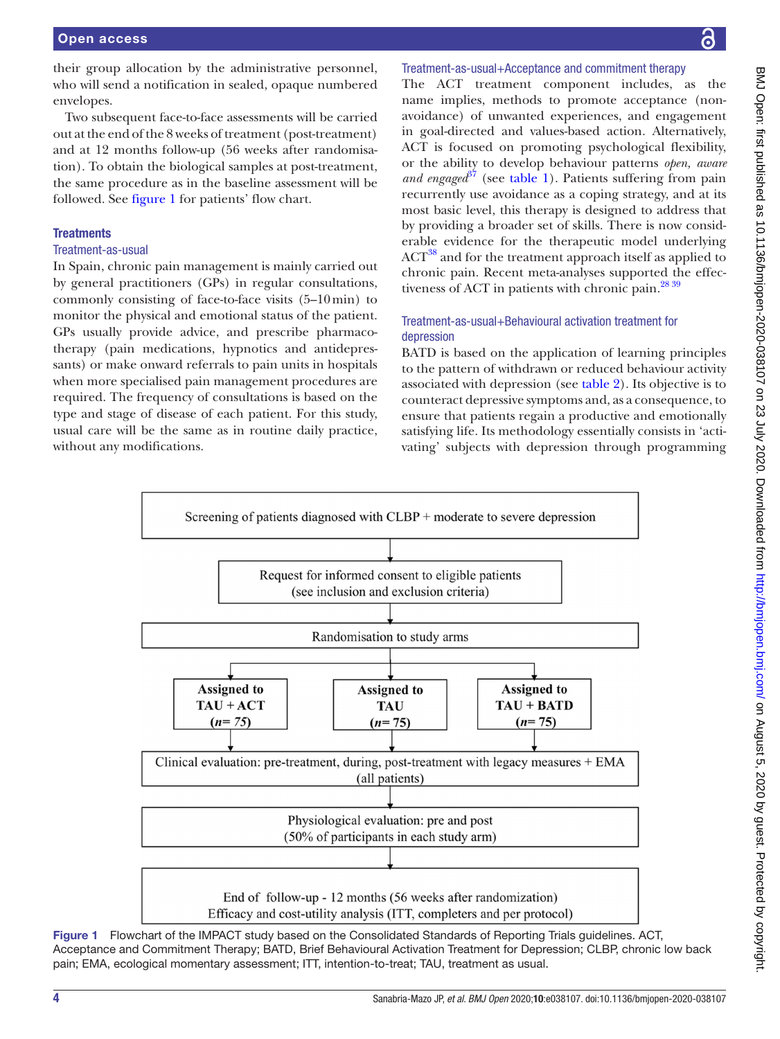their group allocation by the administrative personnel, who will send a notification in sealed, opaque numbered envelopes.

Two subsequent face-to-face assessments will be carried out at the end of the 8 weeks of treatment (post-treatment) and at 12 months follow-up (56 weeks after randomisation). To obtain the biological samples at post-treatment, the same procedure as in the baseline assessment will be followed. See [figure](#page-3-0) 1 for patients' flow chart.

# **Treatments**

#### Treatment-as-usual

In Spain, chronic pain management is mainly carried out by general practitioners (GPs) in regular consultations, commonly consisting of face-to-face visits (5–10min) to monitor the physical and emotional status of the patient. GPs usually provide advice, and prescribe pharmacotherapy (pain medications, hypnotics and antidepressants) or make onward referrals to pain units in hospitals when more specialised pain management procedures are required. The frequency of consultations is based on the type and stage of disease of each patient. For this study, usual care will be the same as in routine daily practice, without any modifications.

#### Treatment-as-usual+Acceptance and commitment therapy

The ACT treatment component includes, as the name implies, methods to promote acceptance (nonavoidance) of unwanted experiences, and engagement in goal-directed and values-based action. Alternatively, ACT is focused on promoting psychological flexibility, or the ability to develop behaviour patterns *open, aware and engaged*<sup>[37](#page-11-23)</sup> (see [table](#page-4-0) 1). Patients suffering from pain recurrently use avoidance as a coping strategy, and at its most basic level, this therapy is designed to address that by providing a broader set of skills. There is now considerable evidence for the therapeutic model underlying ACT<sup>38</sup> and for the treatment approach itself as applied to chronic pain. Recent meta-analyses supported the effectiveness of ACT in patients with chronic pain. $^{28\,39}$ 

# Treatment-as-usual+Behavioural activation treatment for depression

BATD is based on the application of learning principles to the pattern of withdrawn or reduced behaviour activity associated with depression (see [table](#page-4-1) 2). Its objective is to counteract depressive symptoms and, as a consequence, to ensure that patients regain a productive and emotionally satisfying life. Its methodology essentially consists in 'activating' subjects with depression through programming



<span id="page-3-0"></span>Figure 1 Flowchart of the IMPACT study based on the Consolidated Standards of Reporting Trials guidelines. ACT, Acceptance and Commitment Therapy; BATD, Brief Behavioural Activation Treatment for Depression; CLBP, chronic low back pain; EMA, ecological momentary assessment; ITT, intention-to-treat; TAU, treatment as usual.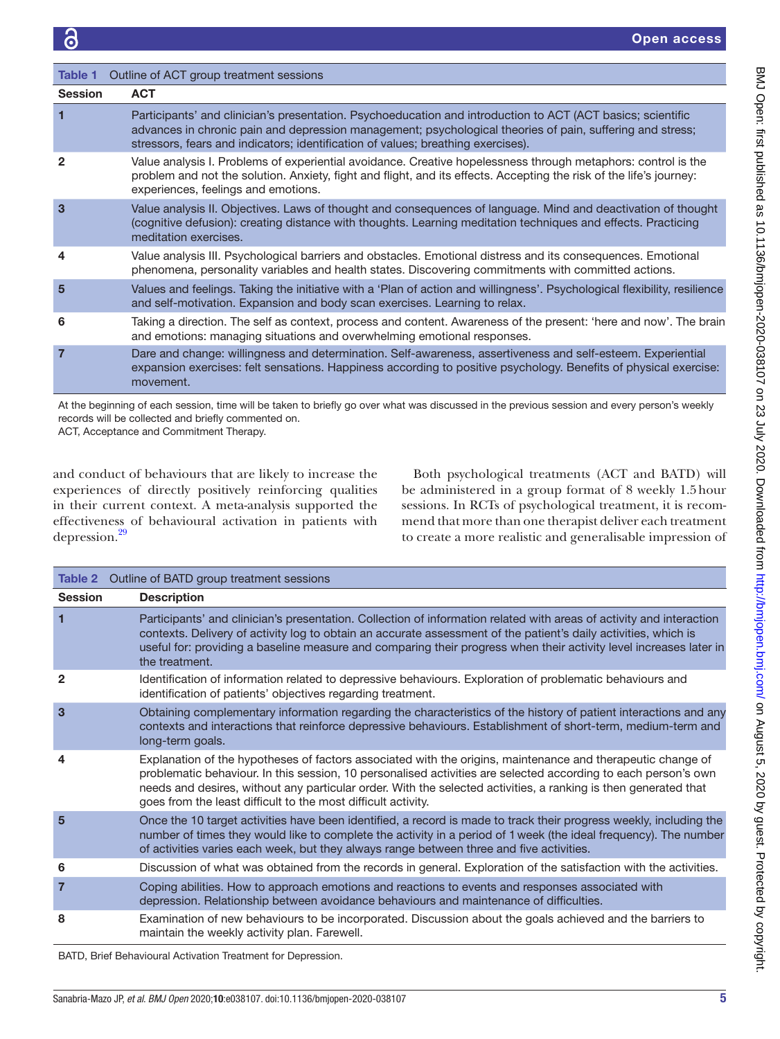<span id="page-4-0"></span>

| Table 1         | Outline of ACT group treatment sessions                                                                                                                                                                                                                                                                      |
|-----------------|--------------------------------------------------------------------------------------------------------------------------------------------------------------------------------------------------------------------------------------------------------------------------------------------------------------|
| <b>Session</b>  | <b>ACT</b>                                                                                                                                                                                                                                                                                                   |
| 1               | Participants' and clinician's presentation. Psychoeducation and introduction to ACT (ACT basics; scientific<br>advances in chronic pain and depression management; psychological theories of pain, suffering and stress;<br>stressors, fears and indicators; identification of values; breathing exercises). |
| 2               | Value analysis I. Problems of experiential avoidance. Creative hopelessness through metaphors: control is the<br>problem and not the solution. Anxiety, fight and flight, and its effects. Accepting the risk of the life's journey:<br>experiences, feelings and emotions.                                  |
| $\overline{3}$  | Value analysis II. Objectives. Laws of thought and consequences of language. Mind and deactivation of thought<br>(cognitive defusion): creating distance with thoughts. Learning meditation techniques and effects. Practicing<br>meditation exercises.                                                      |
| 4               | Value analysis III. Psychological barriers and obstacles. Emotional distress and its consequences. Emotional<br>phenomena, personality variables and health states. Discovering commitments with committed actions.                                                                                          |
| $5\overline{5}$ | Values and feelings. Taking the initiative with a 'Plan of action and willingness'. Psychological flexibility, resilience<br>and self-motivation. Expansion and body scan exercises. Learning to relax.                                                                                                      |
| 6               | Taking a direction. The self as context, process and content. Awareness of the present: 'here and now'. The brain<br>and emotions: managing situations and overwhelming emotional responses.                                                                                                                 |
| $\overline{7}$  | Dare and change: willingness and determination. Self-awareness, assertiveness and self-esteem. Experiential<br>expansion exercises: felt sensations. Happiness according to positive psychology. Benefits of physical exercise:<br>movement.                                                                 |

At the beginning of each session, time will be taken to briefly go over what was discussed in the previous session and every person's weekly records will be collected and briefly commented on.

ACT, Acceptance and Commitment Therapy.

and conduct of behaviours that are likely to increase the experiences of directly positively reinforcing qualities in their current context. A meta-analysis supported the effectiveness of behavioural activation in patients with depression[.29](#page-11-15)

Both psychological treatments (ACT and BATD) will be administered in a group format of 8 weekly 1.5hour sessions. In RCTs of psychological treatment, it is recommend that more than one therapist deliver each treatment to create a more realistic and generalisable impression of

<span id="page-4-1"></span>

|                | <b>Table 2</b> Outline of BATD group treatment sessions                                                                                                                                                                                                                                                                                                                                                           |
|----------------|-------------------------------------------------------------------------------------------------------------------------------------------------------------------------------------------------------------------------------------------------------------------------------------------------------------------------------------------------------------------------------------------------------------------|
| <b>Session</b> | <b>Description</b>                                                                                                                                                                                                                                                                                                                                                                                                |
| 1              | Participants' and clinician's presentation. Collection of information related with areas of activity and interaction<br>contexts. Delivery of activity log to obtain an accurate assessment of the patient's daily activities, which is<br>useful for: providing a baseline measure and comparing their progress when their activity level increases later in<br>the treatment.                                   |
| $\overline{2}$ | Identification of information related to depressive behaviours. Exploration of problematic behaviours and<br>identification of patients' objectives regarding treatment.                                                                                                                                                                                                                                          |
| 3              | Obtaining complementary information regarding the characteristics of the history of patient interactions and any<br>contexts and interactions that reinforce depressive behaviours. Establishment of short-term, medium-term and<br>long-term goals.                                                                                                                                                              |
| 4              | Explanation of the hypotheses of factors associated with the origins, maintenance and therapeutic change of<br>problematic behaviour. In this session, 10 personalised activities are selected according to each person's own<br>needs and desires, without any particular order. With the selected activities, a ranking is then generated that<br>goes from the least difficult to the most difficult activity. |
| 5              | Once the 10 target activities have been identified, a record is made to track their progress weekly, including the<br>number of times they would like to complete the activity in a period of 1 week (the ideal frequency). The number<br>of activities varies each week, but they always range between three and five activities.                                                                                |
| 6              | Discussion of what was obtained from the records in general. Exploration of the satisfaction with the activities.                                                                                                                                                                                                                                                                                                 |
| 7              | Coping abilities. How to approach emotions and reactions to events and responses associated with<br>depression. Relationship between avoidance behaviours and maintenance of difficulties.                                                                                                                                                                                                                        |
| 8              | Examination of new behaviours to be incorporated. Discussion about the goals achieved and the barriers to<br>maintain the weekly activity plan. Farewell.                                                                                                                                                                                                                                                         |

BATD, Brief Behavioural Activation Treatment for Depression.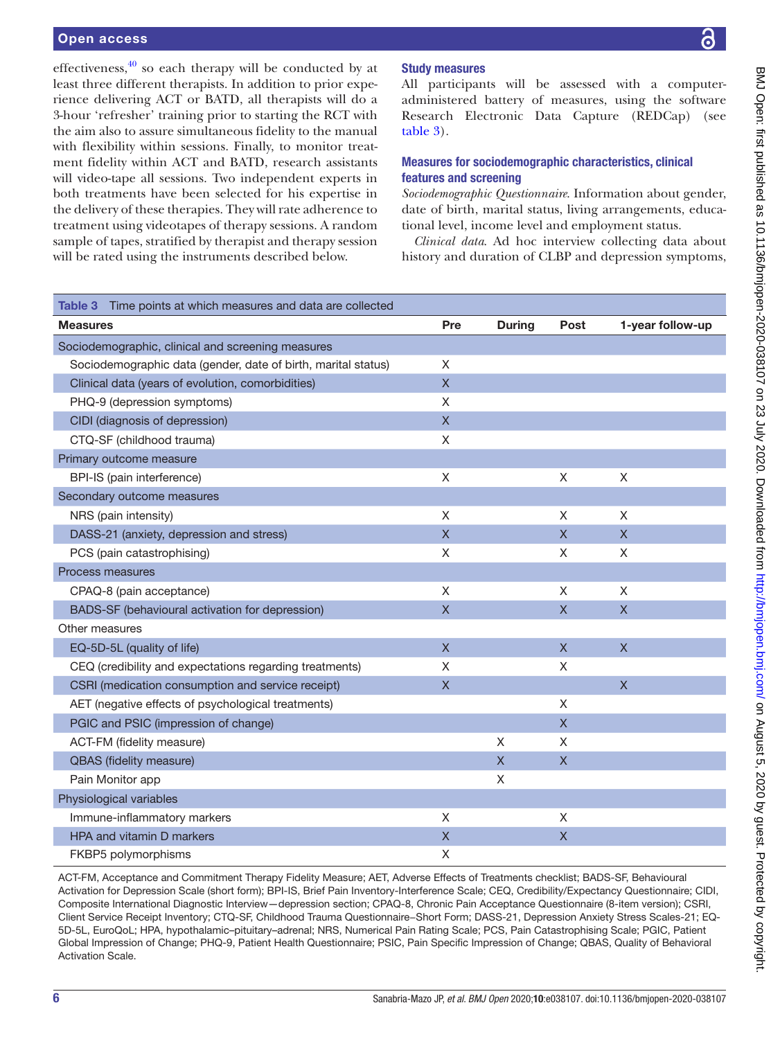#### Open access

effectiveness,  $\frac{40}{10}$  so each therapy will be conducted by at least three different therapists. In addition to prior experience delivering ACT or BATD, all therapists will do a 3-hour 'refresher' training prior to starting the RCT with the aim also to assure simultaneous fidelity to the manual with flexibility within sessions. Finally, to monitor treatment fidelity within ACT and BATD, research assistants will video-tape all sessions. Two independent experts in both treatments have been selected for his expertise in the delivery of these therapies. They will rate adherence to treatment using videotapes of therapy sessions. A random sample of tapes, stratified by therapist and therapy session will be rated using the instruments described below.

# Study measures

All participants will be assessed with a computeradministered battery of measures, using the software Research Electronic Data Capture (REDCap) (see [table](#page-5-0) 3).

### Measures for sociodemographic characteristics, clinical features and screening

*Sociodemographic Questionnaire*. Information about gender, date of birth, marital status, living arrangements, educational level, income level and employment status.

*Clinical data*. Ad hoc interview collecting data about history and duration of CLBP and depression symptoms,

<span id="page-5-0"></span>

| Table 3 Time points at which measures and data are collected  |              |               |                         |                  |
|---------------------------------------------------------------|--------------|---------------|-------------------------|------------------|
| <b>Measures</b>                                               | Pre          | <b>During</b> | Post                    | 1-year follow-up |
| Sociodemographic, clinical and screening measures             |              |               |                         |                  |
| Sociodemographic data (gender, date of birth, marital status) | X            |               |                         |                  |
| Clinical data (years of evolution, comorbidities)             | $\mathsf{X}$ |               |                         |                  |
| PHQ-9 (depression symptoms)                                   | X            |               |                         |                  |
| CIDI (diagnosis of depression)                                | $\mathsf{X}$ |               |                         |                  |
| CTQ-SF (childhood trauma)                                     | X            |               |                         |                  |
| Primary outcome measure                                       |              |               |                         |                  |
| BPI-IS (pain interference)                                    | $\mathsf X$  |               | X                       | X                |
| Secondary outcome measures                                    |              |               |                         |                  |
| NRS (pain intensity)                                          | X            |               | X                       | X                |
| DASS-21 (anxiety, depression and stress)                      | $\mathsf{X}$ |               | $\mathsf{X}$            | $\mathsf{X}$     |
| PCS (pain catastrophising)                                    | X            |               | X                       | X                |
| Process measures                                              |              |               |                         |                  |
| CPAQ-8 (pain acceptance)                                      | X            |               | X                       | $\mathsf X$      |
| BADS-SF (behavioural activation for depression)               | $\mathsf{X}$ |               | $\mathsf{X}$            | $\mathsf{X}$     |
| Other measures                                                |              |               |                         |                  |
| EQ-5D-5L (quality of life)                                    | $\mathsf{X}$ |               | $\overline{\mathsf{X}}$ | $\mathsf{X}$     |
| CEQ (credibility and expectations regarding treatments)       | X            |               | X                       |                  |
| CSRI (medication consumption and service receipt)             | $\mathsf X$  |               |                         | $\mathsf{X}$     |
| AET (negative effects of psychological treatments)            |              |               | X                       |                  |
| PGIC and PSIC (impression of change)                          |              |               | $\overline{\mathsf{X}}$ |                  |
| ACT-FM (fidelity measure)                                     |              | X             | X                       |                  |
| QBAS (fidelity measure)                                       |              | X             | $\overline{\mathsf{X}}$ |                  |
| Pain Monitor app                                              |              | Χ             |                         |                  |
| Physiological variables                                       |              |               |                         |                  |
| Immune-inflammatory markers                                   | X            |               | X                       |                  |
| HPA and vitamin D markers                                     | $\mathsf X$  |               | $\overline{\mathsf{X}}$ |                  |
| FKBP5 polymorphisms                                           | X            |               |                         |                  |

ACT-FM, Acceptance and Commitment Therapy Fidelity Measure; AET, Adverse Effects of Treatments checklist; BADS-SF, Behavioural Activation for Depression Scale (short form); BPI-IS, Brief Pain Inventory-Interference Scale; CEQ, Credibility/Expectancy Questionnaire; CIDI, Composite International Diagnostic Interview—depression section; CPAQ-8, Chronic Pain Acceptance Questionnaire (8-item version); CSRI, Client Service Receipt Inventory; CTQ-SF, Childhood Trauma Questionnaire−Short Form; DASS-21, Depression Anxiety Stress Scales-21; EQ-5D-5L, EuroQoL; HPA, hypothalamic–pituitary–adrenal; NRS, Numerical Pain Rating Scale; PCS, Pain Catastrophising Scale; PGIC, Patient Global Impression of Change; PHQ-9, Patient Health Questionnaire; PSIC, Pain Specific Impression of Change; QBAS, Quality of Behavioral Activation Scale.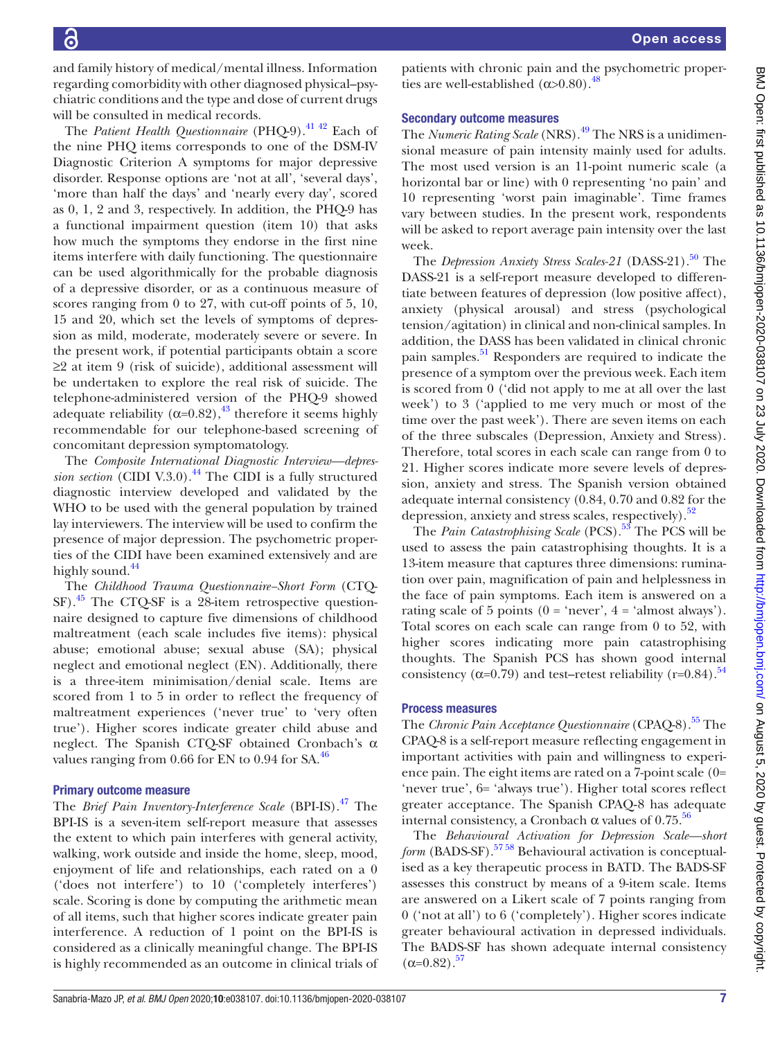and family history of medical/mental illness. Information regarding comorbidity with other diagnosed physical–psychiatric conditions and the type and dose of current drugs will be consulted in medical records.

The *Patient Health Questionnaire* (PHQ-9).<sup>41 42</sup> Each of the nine PHQ items corresponds to one of the DSM-IV Diagnostic Criterion A symptoms for major depressive disorder. Response options are 'not at all', 'several days', 'more than half the days' and 'nearly every day', scored as 0, 1, 2 and 3, respectively. In addition, the PHQ-9 has a functional impairment question (item 10) that asks how much the symptoms they endorse in the first nine items interfere with daily functioning. The questionnaire can be used algorithmically for the probable diagnosis of a depressive disorder, or as a continuous measure of scores ranging from 0 to 27, with cut-off points of 5, 10, 15 and 20, which set the levels of symptoms of depression as mild, moderate, moderately severe or severe. In the present work, if potential participants obtain a score ≥2 at item 9 (risk of suicide), additional assessment will be undertaken to explore the real risk of suicide. The telephone-administered version of the PHQ-9 showed adequate reliability ( $\alpha$ =0.82),<sup>43</sup> therefore it seems highly recommendable for our telephone-based screening of concomitant depression symptomatology.

The *Composite International Diagnostic Interview—depression section* (CIDI V.3.0).<sup>44</sup> The CIDI is a fully structured diagnostic interview developed and validated by the WHO to be used with the general population by trained lay interviewers. The interview will be used to confirm the presence of major depression. The psychometric properties of the CIDI have been examined extensively and are highly sound.<sup>[44](#page-11-28)</sup>

The *Childhood Trauma Questionnaire−Short Form* (CTQ- $SF)$ <sup>45</sup> The CTQ-SF is a 28-item retrospective questionnaire designed to capture five dimensions of childhood maltreatment (each scale includes five items): physical abuse; emotional abuse; sexual abuse (SA); physical neglect and emotional neglect (EN). Additionally, there is a three-item minimisation/denial scale. Items are scored from 1 to 5 in order to reflect the frequency of maltreatment experiences ('never true' to 'very often true'). Higher scores indicate greater child abuse and neglect. The Spanish CTQ-SF obtained Cronbach's α values ranging from  $0.66$  for EN to  $0.94$  for SA.<sup>46</sup>

#### Primary outcome measure

The *Brief Pain Inventory-Interference Scale* (BPI-IS)[.47](#page-11-31) The BPI-IS is a seven-item self-report measure that assesses the extent to which pain interferes with general activity, walking, work outside and inside the home, sleep, mood, enjoyment of life and relationships, each rated on a 0 ('does not interfere') to 10 ('completely interferes') scale. Scoring is done by computing the arithmetic mean of all items, such that higher scores indicate greater pain interference. A reduction of 1 point on the BPI-IS is considered as a clinically meaningful change. The BPI-IS is highly recommended as an outcome in clinical trials of patients with chronic pain and the psychometric properties are well-established  $(\alpha > 0.80)$ .<sup>[48](#page-11-32)</sup>

#### Secondary outcome measures

The *Numeric Rating Scale* (NRS).<sup>49</sup> The NRS is a unidimensional measure of pain intensity mainly used for adults. The most used version is an 11-point numeric scale (a horizontal bar or line) with 0 representing 'no pain' and 10 representing 'worst pain imaginable'. Time frames vary between studies. In the present work, respondents will be asked to report average pain intensity over the last week.

The *Depression Anxiety Stress Scales-21* (DASS-21).<sup>50</sup> The DASS-21 is a self-report measure developed to differentiate between features of depression (low positive affect), anxiety (physical arousal) and stress (psychological tension/agitation) in clinical and non-clinical samples. In addition, the DASS has been validated in clinical chronic pain samples.<sup>[51](#page-11-35)</sup> Responders are required to indicate the presence of a symptom over the previous week. Each item is scored from 0 ('did not apply to me at all over the last week') to 3 ('applied to me very much or most of the time over the past week'). There are seven items on each of the three subscales (Depression, Anxiety and Stress). Therefore, total scores in each scale can range from 0 to 21. Higher scores indicate more severe levels of depression, anxiety and stress. The Spanish version obtained adequate internal consistency (0.84, 0.70 and 0.82 for the depression, anxiety and stress scales, respectively).<sup>[52](#page-12-0)</sup>

The *Pain Catastrophising Scale* (PCS).<sup>53</sup> The PCS will be used to assess the pain catastrophising thoughts. It is a 13-item measure that captures three dimensions: rumination over pain, magnification of pain and helplessness in the face of pain symptoms. Each item is answered on a rating scale of 5 points ( $0 = 'never', 4 = 'almost always').$ Total scores on each scale can range from 0 to 52, with higher scores indicating more pain catastrophising thoughts. The Spanish PCS has shown good internal consistency ( $\alpha$ =0.79) and test–retest reliability (r=0.84).<sup>[54](#page-12-2)</sup>

# Process measures

The *Chronic Pain Acceptance Questionnaire* (CPAQ-8).<sup>55</sup> The CPAQ-8 is a self-report measure reflecting engagement in important activities with pain and willingness to experience pain. The eight items are rated on a 7-point scale (0= 'never true', 6= 'always true'). Higher total scores reflect greater acceptance. The Spanish CPAQ‐8 has adequate internal consistency, a Cronbach  $\alpha$  values of 0.75.<sup>56</sup>

The *Behavioural Activation for Depression Scale—short form* (BADS-SF).<sup>57</sup><sup>58</sup> Behavioural activation is conceptualised as a key therapeutic process in BATD. The BADS-SF assesses this construct by means of a 9-item scale. Items are answered on a Likert scale of 7 points ranging from 0 ('not at all') to 6 ('completely'). Higher scores indicate greater behavioural activation in depressed individuals. The BADS-SF has shown adequate internal consistency  $(\alpha=0.82)$ .<sup>57</sup>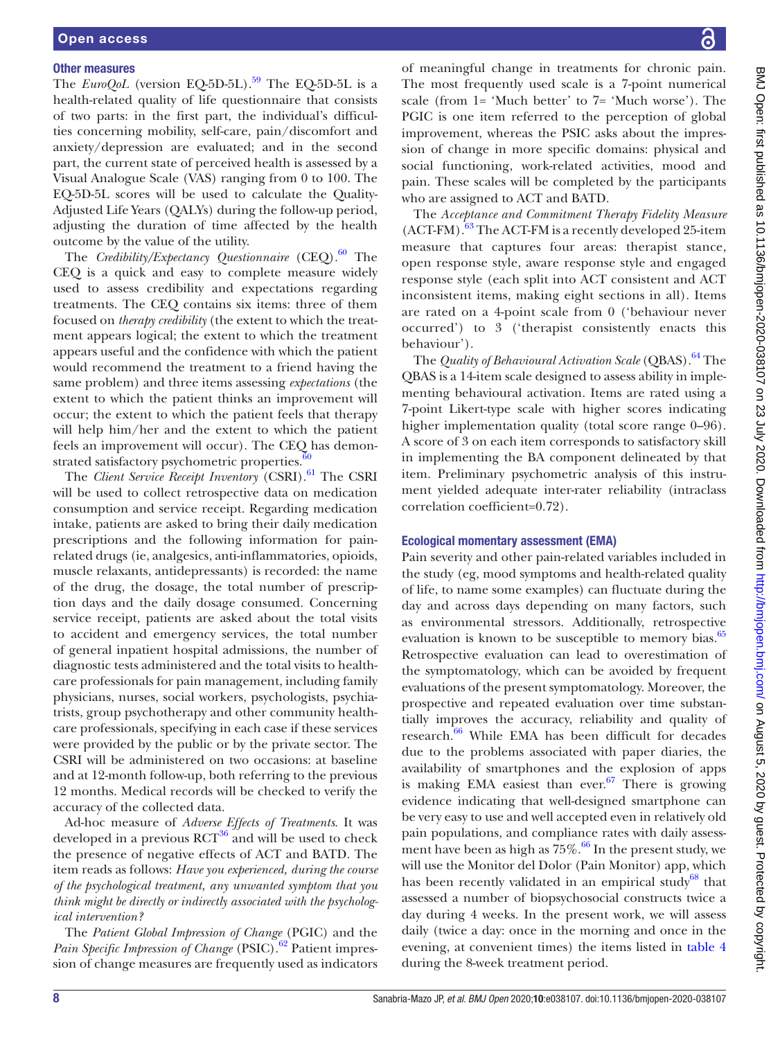#### Other measures

The  $EuroQoL$  (version EQ-5D-5L).<sup>59</sup> The EQ-5D-5L is a health-related quality of life questionnaire that consists of two parts: in the first part, the individual's difficulties concerning mobility, self-care, pain/discomfort and anxiety/depression are evaluated; and in the second part, the current state of perceived health is assessed by a Visual Analogue Scale (VAS) ranging from 0 to 100. The EQ-5D-5L scores will be used to calculate the Quality-Adjusted Life Years (QALYs) during the follow-up period, adjusting the duration of time affected by the health outcome by the value of the utility.

The *Credibility/Expectancy Questionnaire* (CEQ).<sup>60</sup> The CEQ is a quick and easy to complete measure widely used to assess credibility and expectations regarding treatments. The CEQ contains six items: three of them focused on *therapy credibility* (the extent to which the treatment appears logical; the extent to which the treatment appears useful and the confidence with which the patient would recommend the treatment to a friend having the same problem) and three items assessing *expectations* (the extent to which the patient thinks an improvement will occur; the extent to which the patient feels that therapy will help him/her and the extent to which the patient feels an improvement will occur). The CEQ has demonstrated satisfactory psychometric properties. $60$ 

The *Client Service Receipt Inventory* (CSRI).<sup>61</sup> The CSRI will be used to collect retrospective data on medication consumption and service receipt. Regarding medication intake, patients are asked to bring their daily medication prescriptions and the following information for painrelated drugs (ie, analgesics, anti-inflammatories, opioids, muscle relaxants, antidepressants) is recorded: the name of the drug, the dosage, the total number of prescription days and the daily dosage consumed. Concerning service receipt, patients are asked about the total visits to accident and emergency services, the total number of general inpatient hospital admissions, the number of diagnostic tests administered and the total visits to healthcare professionals for pain management, including family physicians, nurses, social workers, psychologists, psychiatrists, group psychotherapy and other community healthcare professionals, specifying in each case if these services were provided by the public or by the private sector. The CSRI will be administered on two occasions: at baseline and at 12-month follow-up, both referring to the previous 12 months. Medical records will be checked to verify the accuracy of the collected data.

Ad-hoc measure of *Adverse Effects of Treatments*. It was developed in a previous  $\text{RCT}^{36}$  $\text{RCT}^{36}$  $\text{RCT}^{36}$  and will be used to check the presence of negative effects of ACT and BATD. The item reads as follows: *Have you experienced, during the course of the psychological treatment, any unwanted symptom that you think might be directly or indirectly associated with the psychological intervention?*

The *Patient Global Impression of Change* (PGIC) and the *Pain Specific Impression of Change* (PSIC).<sup>62</sup> Patient impression of change measures are frequently used as indicators

of meaningful change in treatments for chronic pain. The most frequently used scale is a 7-point numerical scale (from 1= 'Much better' to 7= 'Much worse'). The PGIC is one item referred to the perception of global improvement, whereas the PSIC asks about the impression of change in more specific domains: physical and social functioning, work-related activities, mood and pain. These scales will be completed by the participants who are assigned to ACT and BATD.

The *Acceptance and Commitment Therapy Fidelity Measure*  $(ACT-FM).<sup>63</sup>$  $(ACT-FM).<sup>63</sup>$  $(ACT-FM).<sup>63</sup>$  The ACT-FM is a recently developed 25-item measure that captures four areas: therapist stance, open response style, aware response style and engaged response style (each split into ACT consistent and ACT inconsistent items, making eight sections in all). Items are rated on a 4-point scale from 0 ('behaviour never occurred') to 3 ('therapist consistently enacts this behaviour').

The *Quality of Behavioural Activation Scale* (QBAS).<sup>[64](#page-12-11)</sup> The QBAS is a 14-item scale designed to assess ability in implementing behavioural activation. Items are rated using a 7-point Likert-type scale with higher scores indicating higher implementation quality (total score range 0–96). A score of 3 on each item corresponds to satisfactory skill in implementing the BA component delineated by that item. Preliminary psychometric analysis of this instrument yielded adequate inter-rater reliability (intraclass correlation coefficient=0.72).

#### Ecological momentary assessment (EMA)

Pain severity and other pain-related variables included in the study (eg, mood symptoms and health-related quality of life, to name some examples) can fluctuate during the day and across days depending on many factors, such as environmental stressors. Additionally, retrospective evaluation is known to be susceptible to memory bias.<sup>[65](#page-12-12)</sup> Retrospective evaluation can lead to overestimation of the symptomatology, which can be avoided by frequent evaluations of the present symptomatology. Moreover, the prospective and repeated evaluation over time substantially improves the accuracy, reliability and quality of research.<sup>[66](#page-12-13)</sup> While EMA has been difficult for decades due to the problems associated with paper diaries, the availability of smartphones and the explosion of apps is making EMA easiest than ever. $67$  There is growing evidence indicating that well-designed smartphone can be very easy to use and well accepted even in relatively old pain populations, and compliance rates with daily assessment have been as high as  $75\%$ .<sup>66</sup> In the present study, we will use the Monitor del Dolor (Pain Monitor) app, which has been recently validated in an empirical study<sup>68</sup> that assessed a number of biopsychosocial constructs twice a day during 4 weeks. In the present work, we will assess daily (twice a day: once in the morning and once in the evening, at convenient times) the items listed in [table](#page-8-0) 4 during the 8-week treatment period.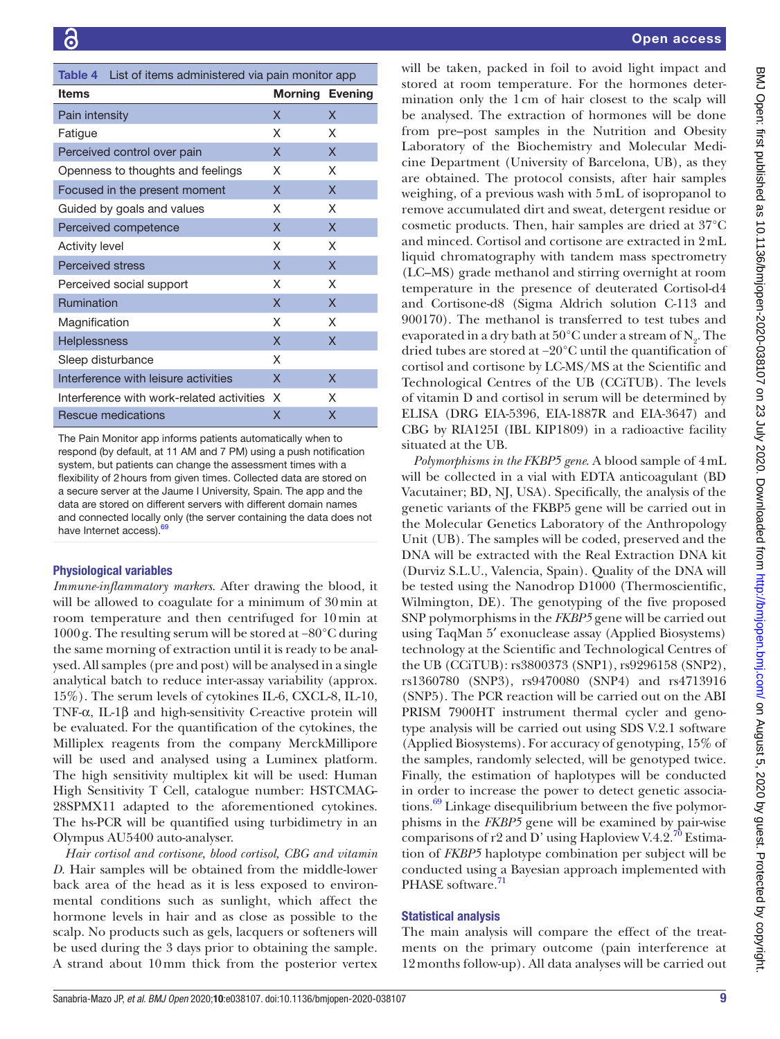<span id="page-8-0"></span>

| <b>Table 4</b> List of items administered via pain monitor app |                           |   |  |  |  |  |
|----------------------------------------------------------------|---------------------------|---|--|--|--|--|
| <b>Items</b>                                                   | <b>Morning Evening</b>    |   |  |  |  |  |
| Pain intensity                                                 | X                         | X |  |  |  |  |
| Fatigue                                                        | X                         | X |  |  |  |  |
| Perceived control over pain                                    | X                         | X |  |  |  |  |
| Openness to thoughts and feelings                              | X                         | X |  |  |  |  |
| Focused in the present moment                                  | X                         | X |  |  |  |  |
| Guided by goals and values                                     | X                         | X |  |  |  |  |
| Perceived competence                                           | X                         | X |  |  |  |  |
| <b>Activity level</b>                                          | X                         | X |  |  |  |  |
| <b>Perceived stress</b>                                        | X                         | X |  |  |  |  |
| Perceived social support                                       | X                         | X |  |  |  |  |
| Rumination                                                     | X                         | X |  |  |  |  |
| Magnification                                                  | X                         | X |  |  |  |  |
| Helplessness                                                   | $\boldsymbol{\mathsf{x}}$ | X |  |  |  |  |
| Sleep disturbance                                              | X                         |   |  |  |  |  |
| Interference with leisure activities                           | X                         | X |  |  |  |  |
| Interference with work-related activities                      | X                         | X |  |  |  |  |
| Rescue medications                                             | x                         | x |  |  |  |  |

The Pain Monitor app informs patients automatically when to respond (by default, at 11 AM and 7 PM) using a push notification system, but patients can change the assessment times with a flexibility of 2hours from given times. Collected data are stored on a secure server at the Jaume I University, Spain. The app and the data are stored on different servers with different domain names and connected locally only (the server containing the data does not have Internet access).<sup>[69](#page-12-16)</sup>

# Physiological variables

*Immune-inflammatory markers*. After drawing the blood, it will be allowed to coagulate for a minimum of 30min at room temperature and then centrifuged for 10min at 1000g. The resulting serum will be stored at −80°C during the same morning of extraction until it is ready to be analysed. All samples (pre and post) will be analysed in a single analytical batch to reduce inter-assay variability (approx. 15%). The serum levels of cytokines IL-6, CXCL-8, IL-10, TNF-α, IL-1β and high-sensitivity C-reactive protein will be evaluated. For the quantification of the cytokines, the Milliplex reagents from the company MerckMillipore will be used and analysed using a Luminex platform. The high sensitivity multiplex kit will be used: Human High Sensitivity T Cell, catalogue number: HSTCMAG-28SPMX11 adapted to the aforementioned cytokines. The hs-PCR will be quantified using turbidimetry in an Olympus AU5400 auto-analyser.

*Hair cortisol and cortisone, blood cortisol, CBG and vitamin D*. Hair samples will be obtained from the middle-lower back area of the head as it is less exposed to environmental conditions such as sunlight, which affect the hormone levels in hair and as close as possible to the scalp. No products such as gels, lacquers or softeners will be used during the 3 days prior to obtaining the sample. A strand about 10mm thick from the posterior vertex

will be taken, packed in foil to avoid light impact and stored at room temperature. For the hormones determination only the 1cm of hair closest to the scalp will be analysed. The extraction of hormones will be done from pre–post samples in the Nutrition and Obesity Laboratory of the Biochemistry and Molecular Medicine Department (University of Barcelona, UB), as they are obtained. The protocol consists, after hair samples weighing, of a previous wash with 5mL of isopropanol to remove accumulated dirt and sweat, detergent residue or cosmetic products. Then, hair samples are dried at 37°C and minced. Cortisol and cortisone are extracted in 2mL liquid chromatography with tandem mass spectrometry (LC–MS) grade methanol and stirring overnight at room temperature in the presence of deuterated Cortisol-d4 and Cortisone-d8 (Sigma Aldrich solution C-113 and 900170). The methanol is transferred to test tubes and evaporated in a dry bath at  $50^{\circ}$ C under a stream of  $N_{2}$ . The dried tubes are stored at −20°C until the quantification of cortisol and cortisone by LC-MS/MS at the Scientific and Technological Centres of the UB (CCiTUB). The levels of vitamin D and cortisol in serum will be determined by ELISA (DRG EIA-5396, EIA-1887R and EIA-3647) and CBG by RIA125I (IBL KIP1809) in a radioactive facility situated at the UB.

*Polymorphisms in the FKBP5 gene*. A blood sample of 4mL will be collected in a vial with EDTA anticoagulant (BD Vacutainer; BD, NJ, USA). Specifically, the analysis of the genetic variants of the FKBP5 gene will be carried out in the Molecular Genetics Laboratory of the Anthropology Unit (UB). The samples will be coded, preserved and the DNA will be extracted with the Real Extraction DNA kit (Durviz S.L.U., Valencia, Spain). Quality of the DNA will be tested using the Nanodrop D1000 (Thermoscientific, Wilmington, DE). The genotyping of the five proposed SNP polymorphisms in the *FKBP5* gene will be carried out using TaqMan 5′ exonuclease assay (Applied Biosystems) technology at the Scientific and Technological Centres of the UB (CCiTUB): rs3800373 (SNP1), rs9296158 (SNP2), rs1360780 (SNP3), rs9470080 (SNP4) and rs4713916 (SNP5). The PCR reaction will be carried out on the ABI PRISM 7900HT instrument thermal cycler and genotype analysis will be carried out using SDS V.2.1 software (Applied Biosystems). For accuracy of genotyping, 15% of the samples, randomly selected, will be genotyped twice. Finally, the estimation of haplotypes will be conducted in order to increase the power to detect genetic associations.<sup>69</sup> Linkage disequilibrium between the five polymorphisms in the *FKBP5* gene will be examined by pair-wise comparisons of r2 and D' using Haploview V.4.2.<sup>70</sup> Estimation of *FKBP5* haplotype combination per subject will be conducted using a Bayesian approach implemented with PHASE software.<sup>[71](#page-12-18)</sup>

#### Statistical analysis

The main analysis will compare the effect of the treatments on the primary outcome (pain interference at 12months follow-up). All data analyses will be carried out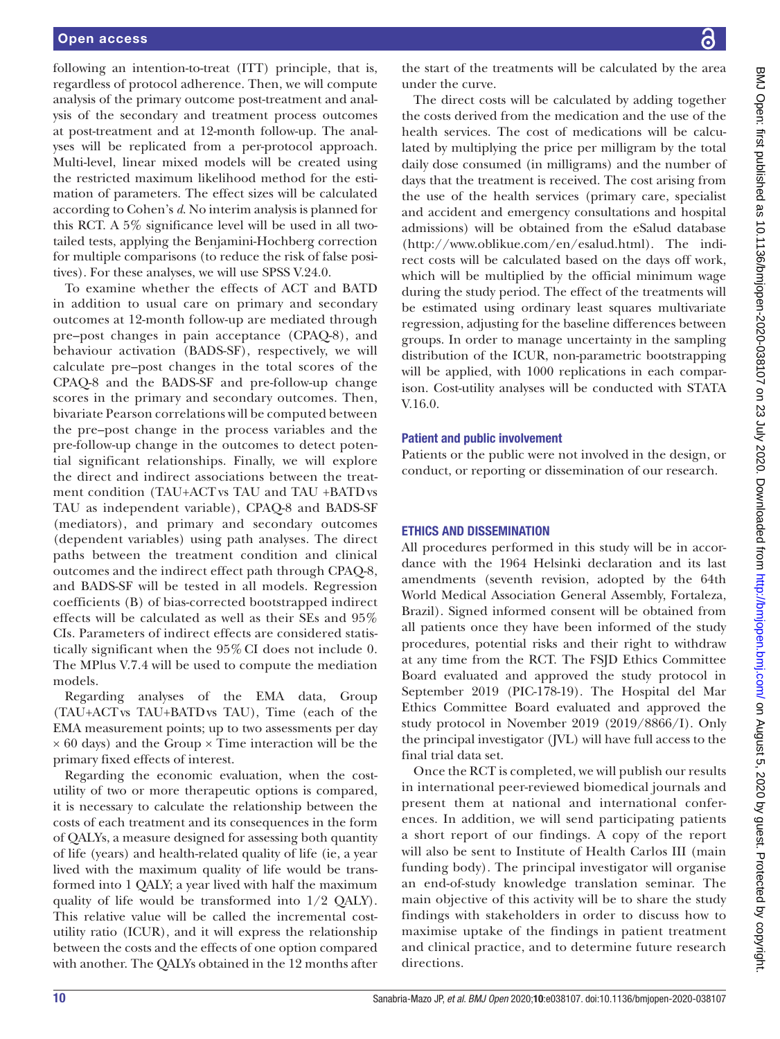following an intention-to-treat (ITT) principle, that is, regardless of protocol adherence. Then, we will compute analysis of the primary outcome post-treatment and analysis of the secondary and treatment process outcomes at post-treatment and at 12-month follow-up. The analyses will be replicated from a per-protocol approach. Multi-level, linear mixed models will be created using the restricted maximum likelihood method for the estimation of parameters. The effect sizes will be calculated according to Cohen's *d*. No interim analysis is planned for this RCT. A 5% significance level will be used in all twotailed tests, applying the Benjamini-Hochberg correction for multiple comparisons (to reduce the risk of false positives). For these analyses, we will use SPSS V.24.0.

To examine whether the effects of ACT and BATD in addition to usual care on primary and secondary outcomes at 12-month follow-up are mediated through pre–post changes in pain acceptance (CPAQ-8), and behaviour activation (BADS-SF), respectively, we will calculate pre–post changes in the total scores of the CPAQ-8 and the BADS-SF and pre-follow-up change scores in the primary and secondary outcomes. Then, bivariate Pearson correlations will be computed between the pre–post change in the process variables and the pre-follow-up change in the outcomes to detect potential significant relationships. Finally, we will explore the direct and indirect associations between the treatment condition (TAU+ACTvs TAU and TAU +BATD vs TAU as independent variable), CPAQ-8 and BADS-SF (mediators), and primary and secondary outcomes (dependent variables) using path analyses. The direct paths between the treatment condition and clinical outcomes and the indirect effect path through CPAQ-8, and BADS-SF will be tested in all models. Regression coefficients (B) of bias-corrected bootstrapped indirect effects will be calculated as well as their SEs and 95% CIs. Parameters of indirect effects are considered statistically significant when the 95% CI does not include 0. The MPlus V.7.4 will be used to compute the mediation models.

Regarding analyses of the EMA data, Group (TAU+ACTvs TAU+BATDvs TAU), Time (each of the EMA measurement points; up to two assessments per day  $\times$  60 days) and the Group  $\times$  Time interaction will be the primary fixed effects of interest.

Regarding the economic evaluation, when the costutility of two or more therapeutic options is compared, it is necessary to calculate the relationship between the costs of each treatment and its consequences in the form of QALYs, a measure designed for assessing both quantity of life (years) and health-related quality of life (ie, a year lived with the maximum quality of life would be transformed into 1 QALY; a year lived with half the maximum quality of life would be transformed into 1/2 QALY). This relative value will be called the incremental costutility ratio (ICUR), and it will express the relationship between the costs and the effects of one option compared with another. The QALYs obtained in the 12 months after

the start of the treatments will be calculated by the area under the curve.

The direct costs will be calculated by adding together the costs derived from the medication and the use of the health services. The cost of medications will be calculated by multiplying the price per milligram by the total daily dose consumed (in milligrams) and the number of days that the treatment is received. The cost arising from the use of the health services (primary care, specialist and accident and emergency consultations and hospital admissions) will be obtained from the eSalud database [\(http://www.oblikue.com/en/esalud.html\)](http://www.oblikue.com/en/esalud.html). The indirect costs will be calculated based on the days off work, which will be multiplied by the official minimum wage during the study period. The effect of the treatments will be estimated using ordinary least squares multivariate regression, adjusting for the baseline differences between groups. In order to manage uncertainty in the sampling distribution of the ICUR, non-parametric bootstrapping will be applied, with 1000 replications in each comparison. Cost-utility analyses will be conducted with STATA V.16.0.

#### Patient and public involvement

Patients or the public were not involved in the design, or conduct, or reporting or dissemination of our research.

# ETHICS AND DISSEMINATION

All procedures performed in this study will be in accordance with the 1964 Helsinki declaration and its last amendments (seventh revision, adopted by the 64th World Medical Association General Assembly, Fortaleza, Brazil). Signed informed consent will be obtained from all patients once they have been informed of the study procedures, potential risks and their right to withdraw at any time from the RCT. The FSJD Ethics Committee Board evaluated and approved the study protocol in September 2019 (PIC-178-19). The Hospital del Mar Ethics Committee Board evaluated and approved the study protocol in November 2019 (2019/8866/I). Only the principal investigator (JVL) will have full access to the final trial data set.

Once the RCT is completed, we will publish our results in international peer-reviewed biomedical journals and present them at national and international conferences. In addition, we will send participating patients a short report of our findings. A copy of the report will also be sent to Institute of Health Carlos III (main funding body). The principal investigator will organise an end-of-study knowledge translation seminar. The main objective of this activity will be to share the study findings with stakeholders in order to discuss how to maximise uptake of the findings in patient treatment and clinical practice, and to determine future research directions.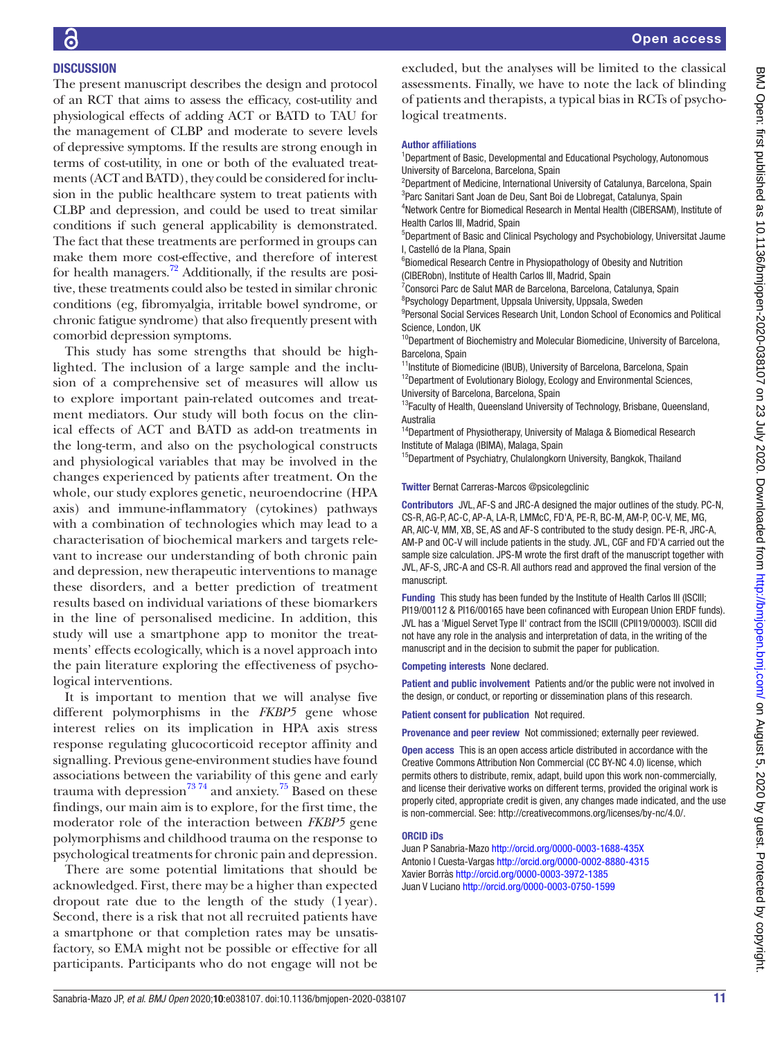# **DISCUSSION**

The present manuscript describes the design and protocol of an RCT that aims to assess the efficacy, cost-utility and physiological effects of adding ACT or BATD to TAU for the management of CLBP and moderate to severe levels of depressive symptoms. If the results are strong enough in terms of cost-utility, in one or both of the evaluated treatments (ACT and BATD), they could be considered for inclusion in the public healthcare system to treat patients with CLBP and depression, and could be used to treat similar conditions if such general applicability is demonstrated. The fact that these treatments are performed in groups can make them more cost-effective, and therefore of interest for health managers.<sup>[72](#page-12-19)</sup> Additionally, if the results are positive, these treatments could also be tested in similar chronic conditions (eg, fibromyalgia, irritable bowel syndrome, or chronic fatigue syndrome) that also frequently present with comorbid depression symptoms.

This study has some strengths that should be highlighted. The inclusion of a large sample and the inclusion of a comprehensive set of measures will allow us to explore important pain-related outcomes and treatment mediators. Our study will both focus on the clinical effects of ACT and BATD as add-on treatments in the long-term, and also on the psychological constructs and physiological variables that may be involved in the changes experienced by patients after treatment. On the whole, our study explores genetic, neuroendocrine (HPA axis) and immune-inflammatory (cytokines) pathways with a combination of technologies which may lead to a characterisation of biochemical markers and targets relevant to increase our understanding of both chronic pain and depression, new therapeutic interventions to manage these disorders, and a better prediction of treatment results based on individual variations of these biomarkers in the line of personalised medicine. In addition, this study will use a smartphone app to monitor the treatments' effects ecologically, which is a novel approach into the pain literature exploring the effectiveness of psychological interventions.

It is important to mention that we will analyse five different polymorphisms in the *FKBP5* gene whose interest relies on its implication in HPA axis stress response regulating glucocorticoid receptor affinity and signalling. Previous gene-environment studies have found associations between the variability of this gene and early trauma with depression<sup>73</sup> 74 and anxiety.<sup>75</sup> Based on these findings, our main aim is to explore, for the first time, the moderator role of the interaction between *FKBP5* gene polymorphisms and childhood trauma on the response to psychological treatments for chronic pain and depression.

There are some potential limitations that should be acknowledged. First, there may be a higher than expected dropout rate due to the length of the study (1year). Second, there is a risk that not all recruited patients have a smartphone or that completion rates may be unsatisfactory, so EMA might not be possible or effective for all participants. Participants who do not engage will not be

excluded, but the analyses will be limited to the classical assessments. Finally, we have to note the lack of blinding of patients and therapists, a typical bias in RCTs of psychological treatments.

#### Author affiliations

<sup>1</sup>Department of Basic, Developmental and Educational Psychology, Autonomous University of Barcelona, Barcelona, Spain

<sup>2</sup>Department of Medicine, International University of Catalunya, Barcelona, Spain <sup>3</sup>Parc Sanitari Sant Joan de Deu, Sant Boi de Llobregat, Catalunya, Spain

4 Network Centre for Biomedical Research in Mental Health (CIBERSAM), Institute of Health Carlos III, Madrid, Spain

5 Department of Basic and Clinical Psychology and Psychobiology, Universitat Jaume I, Castelló de la Plana, Spain

6 Biomedical Research Centre in Physiopathology of Obesity and Nutrition (CIBERobn), Institute of Health Carlos III, Madrid, Spain

<sup>7</sup> Consorci Parc de Salut MAR de Barcelona, Barcelona, Catalunya, Spain <sup>8</sup>Psychology Department, Uppsala University, Uppsala, Sweden

<sup>9</sup> Personal Social Services Research Unit, London School of Economics and Political Science, London, UK

<sup>10</sup>Department of Biochemistry and Molecular Biomedicine, University of Barcelona, Barcelona, Spain

<sup>11</sup>Institute of Biomedicine (IBUB), University of Barcelona, Barcelona, Spain <sup>12</sup>Department of Evolutionary Biology, Ecology and Environmental Sciences, University of Barcelona, Barcelona, Spain

<sup>13</sup>Faculty of Health, Queensland University of Technology, Brisbane, Queensland, Australia

<sup>14</sup>Department of Physiotherapy, University of Malaga & Biomedical Research Institute of Malaga (IBIMA), Malaga, Spain

<sup>15</sup>Department of Psychiatry, Chulalongkorn University, Bangkok, Thailand

Twitter Bernat Carreras-Marcos [@psicolegclinic](https://twitter.com/psicolegclinic)

Contributors JVL, AF-S and JRC-A designed the major outlines of the study. PC-N, CS-R, AG-P, AC-C, AP-A, LA-R, LMMcC, FD'A, PE-R, BC-M, AM-P, OC-V, ME, MG, AR, AIC-V, MM, XB, SE, AS and AF-S contributed to the study design. PE-R, JRC-A, AM-P and OC-V will include patients in the study. JVL, CGF and FD'A carried out the sample size calculation. JPS-M wrote the first draft of the manuscript together with JVL, AF-S, JRC-A and CS-R. All authors read and approved the final version of the manuscript.

Funding This study has been funded by the Institute of Health Carlos III (ISCIII; PI19/00112 & PI16/00165 have been cofinanced with European Union ERDF funds). JVL has a 'Miguel Servet Type II' contract from the ISCIII (CPII19/00003). ISCIII did not have any role in the analysis and interpretation of data, in the writing of the manuscript and in the decision to submit the paper for publication.

Competing interests None declared.

Patient and public involvement Patients and/or the public were not involved in the design, or conduct, or reporting or dissemination plans of this research.

Patient consent for publication Not required.

Provenance and peer review Not commissioned; externally peer reviewed.

Open access This is an open access article distributed in accordance with the Creative Commons Attribution Non Commercial (CC BY-NC 4.0) license, which permits others to distribute, remix, adapt, build upon this work non-commercially, and license their derivative works on different terms, provided the original work is properly cited, appropriate credit is given, any changes made indicated, and the use is non-commercial. See: [http://creativecommons.org/licenses/by-nc/4.0/.](http://creativecommons.org/licenses/by-nc/4.0/)

#### ORCID iDs

Juan P Sanabria-Mazo <http://orcid.org/0000-0003-1688-435X> Antonio I Cuesta-Vargas <http://orcid.org/0000-0002-8880-4315> Xavier Borràs<http://orcid.org/0000-0003-3972-1385> Juan V Luciano <http://orcid.org/0000-0003-0750-1599>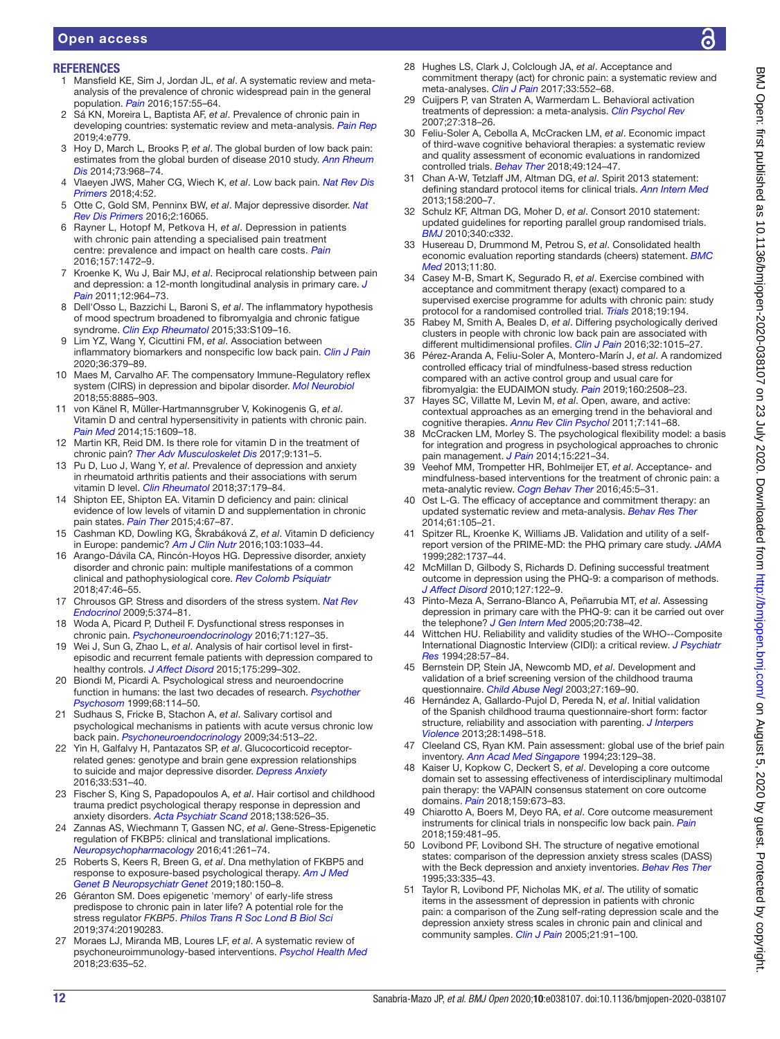# Open access

# **REFERENCES**

- <span id="page-11-0"></span>1 Mansfield KE, Sim J, Jordan JL, *et al*. A systematic review and metaanalysis of the prevalence of chronic widespread pain in the general population. *[Pain](http://dx.doi.org/10.1097/j.pain.0000000000000314)* 2016;157:55–64.
- 2 Sá KN, Moreira L, Baptista AF, *et al*. Prevalence of chronic pain in developing countries: systematic review and meta-analysis. *[Pain Rep](http://dx.doi.org/10.1097/PR9.0000000000000779)* 2019;4:e779.
- <span id="page-11-1"></span>3 Hoy D, March L, Brooks P, *et al*. The global burden of low back pain: estimates from the global burden of disease 2010 study. *[Ann Rheum](http://dx.doi.org/10.1136/annrheumdis-2013-204428)  [Dis](http://dx.doi.org/10.1136/annrheumdis-2013-204428)* 2014;73:968–74.
- 4 Vlaeyen JWS, Maher CG, Wiech K, *et al*. Low back pain. *[Nat Rev Dis](http://dx.doi.org/10.1038/s41572-018-0052-1)  [Primers](http://dx.doi.org/10.1038/s41572-018-0052-1)* 2018;4:52.
- <span id="page-11-2"></span>5 Otte C, Gold SM, Penninx BW, *et al*. Major depressive disorder. *[Nat](http://dx.doi.org/10.1038/nrdp.2016.65)  [Rev Dis Primers](http://dx.doi.org/10.1038/nrdp.2016.65)* 2016;2:16065.
- 6 Rayner L, Hotopf M, Petkova H, *et al*. Depression in patients with chronic pain attending a specialised pain treatment centre: prevalence and impact on health care costs. *[Pain](http://dx.doi.org/10.1097/j.pain.0000000000000542)* 2016;157:1472–9.
- <span id="page-11-3"></span>7 Kroenke K, Wu J, Bair MJ, *et al*. Reciprocal relationship between pain and depression: a 12-month longitudinal analysis in primary care. *[J](http://dx.doi.org/10.1016/j.jpain.2011.03.003)  [Pain](http://dx.doi.org/10.1016/j.jpain.2011.03.003)* 2011;12:964–73.
- <span id="page-11-4"></span>8 Dell'Osso L, Bazzichi L, Baroni S, *et al*. The inflammatory hypothesis of mood spectrum broadened to fibromyalgia and chronic fatigue syndrome. *[Clin Exp Rheumatol](http://www.ncbi.nlm.nih.gov/pubmed/http://www.ncbi.nlm.nih.gov/pubmed/25786052)* 2015;33:S109–16.
- <span id="page-11-5"></span>9 Lim YZ, Wang Y, Cicuttini FM, *et al*. Association between inflammatory biomarkers and nonspecific low back pain. *[Clin J Pain](http://dx.doi.org/10.1097/AJP.0000000000000810)* 2020;36:379–89.
- <span id="page-11-6"></span>10 Maes M, Carvalho AF. The compensatory Immune-Regulatory reflex system (CIRS) in depression and bipolar disorder. *[Mol Neurobiol](http://dx.doi.org/10.1007/s12035-018-1016-x)* 2018;55:8885–903.
- <span id="page-11-7"></span>11 von Känel R, Müller-Hartmannsgruber V, Kokinogenis G, *et al*. Vitamin D and central hypersensitivity in patients with chronic pain. *[Pain Med](http://dx.doi.org/10.1111/pme.12454)* 2014;15:1609–18.
- <span id="page-11-8"></span>12 Martin KR, Reid DM. Is there role for vitamin D in the treatment of chronic pain? *[Ther Adv Musculoskelet Dis](http://dx.doi.org/10.1177/1759720X17708124)* 2017;9:131–5.
- 13 Pu D, Luo J, Wang Y, *et al*. Prevalence of depression and anxiety in rheumatoid arthritis patients and their associations with serum vitamin D level. *[Clin Rheumatol](http://dx.doi.org/10.1007/s10067-017-3874-4)* 2018;37:179–84.
- 14 Shipton EE, Shipton EA. Vitamin D deficiency and pain: clinical evidence of low levels of vitamin D and supplementation in chronic pain states. *[Pain Ther](http://dx.doi.org/10.1007/s40122-015-0036-8)* 2015;4:67–87.
- 15 Cashman KD, Dowling KG, Škrabáková Z, *et al*. Vitamin D deficiency in Europe: pandemic? *[Am J Clin Nutr](http://dx.doi.org/10.3945/ajcn.115.120873)* 2016;103:1033–44.
- <span id="page-11-9"></span>16 Arango-Dávila CA, Rincón-Hoyos HG. Depressive disorder, anxiety disorder and chronic pain: multiple manifestations of a common clinical and pathophysiological core. *[Rev Colomb Psiquiatr](http://dx.doi.org/10.1016/j.rcpeng.2017.12.003)* 2018;47:46–55.
- 17 Chrousos GP. Stress and disorders of the stress system. *[Nat Rev](http://dx.doi.org/10.1038/nrendo.2009.106)  [Endocrinol](http://dx.doi.org/10.1038/nrendo.2009.106)* 2009;5:374–81.
- <span id="page-11-10"></span>18 Woda A, Picard P, Dutheil F. Dysfunctional stress responses in chronic pain. *[Psychoneuroendocrinology](http://dx.doi.org/10.1016/j.psyneuen.2016.05.017)* 2016;71:127–35.
- <span id="page-11-12"></span>19 Wei J, Sun G, Zhao L, *et al*. Analysis of hair cortisol level in firstepisodic and recurrent female patients with depression compared to healthy controls. *[J Affect Disord](http://dx.doi.org/10.1016/j.jad.2015.01.023)* 2015;175:299–302.
- <span id="page-11-11"></span>20 Biondi M, Picardi A. Psychological stress and neuroendocrine function in humans: the last two decades of research. *[Psychother](http://dx.doi.org/10.1159/000012323)  [Psychosom](http://dx.doi.org/10.1159/000012323)* 1999;68:114–50.
- 21 Sudhaus S, Fricke B, Stachon A, *et al*. Salivary cortisol and psychological mechanisms in patients with acute versus chronic low back pain. *[Psychoneuroendocrinology](http://dx.doi.org/10.1016/j.psyneuen.2008.10.011)* 2009;34:513–22.
- 22 Yin H, Galfalvy H, Pantazatos SP, *et al*. Glucocorticoid receptorrelated genes: genotype and brain gene expression relationships to suicide and major depressive disorder. *[Depress Anxiety](http://dx.doi.org/10.1002/da.22499)* 2016;33:531–40.
- 23 Fischer S, King S, Papadopoulos A, *et al*. Hair cortisol and childhood trauma predict psychological therapy response in depression and anxiety disorders. *[Acta Psychiatr Scand](http://dx.doi.org/10.1111/acps.12970)* 2018;138:526–35.
- 24 Zannas AS, Wiechmann T, Gassen NC, *et al*. Gene-Stress-Epigenetic regulation of FKBP5: clinical and translational implications. *[Neuropsychopharmacology](http://dx.doi.org/10.1038/npp.2015.235)* 2016;41:261–74.
- 25 Roberts S, Keers R, Breen G, *et al*. Dna methylation of FKBP5 and response to exposure-based psychological therapy. *[Am J Med](http://dx.doi.org/10.1002/ajmg.b.32650)  [Genet B Neuropsychiatr Genet](http://dx.doi.org/10.1002/ajmg.b.32650)* 2019;180:150–8.
- 26 Géranton SM. Does epigenetic 'memory' of early-life stress predispose to chronic pain in later life? A potential role for the stress regulator *FKBP5*. *[Philos Trans R Soc Lond B Biol Sci](http://dx.doi.org/10.1098/rstb.2019.0283)* 2019;374:20190283.
- <span id="page-11-13"></span>27 Moraes LJ, Miranda MB, Loures LF, *et al*. A systematic review of psychoneuroimmunology-based interventions. *[Psychol Health Med](http://dx.doi.org/10.1080/13548506.2017.1417607)* 2018;23:635–52.
- <span id="page-11-14"></span>28 Hughes LS, Clark J, Colclough JA, *et al*. Acceptance and commitment therapy (act) for chronic pain: a systematic review and meta-analyses. *[Clin J Pain](http://dx.doi.org/10.1097/AJP.0000000000000425)* 2017;33:552–68.
- <span id="page-11-15"></span>Cuijpers P, van Straten A, Warmerdam L. Behavioral activation treatments of depression: a meta-analysis. *[Clin Psychol Rev](http://dx.doi.org/10.1016/j.cpr.2006.11.001)* 2007;27:318–26.
- <span id="page-11-16"></span>30 Feliu-Soler A, Cebolla A, McCracken LM, *et al*. Economic impact of third-wave cognitive behavioral therapies: a systematic review and quality assessment of economic evaluations in randomized controlled trials. *[Behav Ther](http://dx.doi.org/10.1016/j.beth.2017.07.001)* 2018;49:124–47.
- <span id="page-11-17"></span>31 Chan A-W, Tetzlaff JM, Altman DG, *et al*. Spirit 2013 statement: defining standard protocol items for clinical trials. *[Ann Intern Med](http://dx.doi.org/10.7326/0003-4819-158-3-201302050-00583)* 2013;158:200–7.
- <span id="page-11-18"></span>32 Schulz KF, Altman DG, Moher D, *et al*. Consort 2010 statement: updated guidelines for reporting parallel group randomised trials. *[BMJ](http://dx.doi.org/10.1136/bmj.c332)* 2010;340:c332.
- <span id="page-11-19"></span>33 Husereau D, Drummond M, Petrou S, *et al*. Consolidated health economic evaluation reporting standards (cheers) statement. *[BMC](http://dx.doi.org/10.1186/1741-7015-11-80)  [Med](http://dx.doi.org/10.1186/1741-7015-11-80)* 2013;11:80.
- <span id="page-11-20"></span>34 Casey M-B, Smart K, Segurado R, *et al*. Exercise combined with acceptance and commitment therapy (exact) compared to a supervised exercise programme for adults with chronic pain: study protocol for a randomised controlled trial. *[Trials](http://dx.doi.org/10.1186/s13063-018-2543-5)* 2018;19:194.
- <span id="page-11-21"></span>35 Rabey M, Smith A, Beales D, *et al*. Differing psychologically derived clusters in people with chronic low back pain are associated with different multidimensional profiles. *[Clin J Pain](http://dx.doi.org/10.1097/AJP.0000000000000363)* 2016;32:1015–27.
- <span id="page-11-22"></span>36 Pérez-Aranda A, Feliu-Soler A, Montero-Marín J, *et al*. A randomized controlled efficacy trial of mindfulness-based stress reduction compared with an active control group and usual care for fibromyalgia: the EUDAIMON study. *[Pain](http://dx.doi.org/10.1097/j.pain.0000000000001655)* 2019;160:2508–23.
- <span id="page-11-23"></span>37 Hayes SC, Villatte M, Levin M, *et al*. Open, aware, and active: contextual approaches as an emerging trend in the behavioral and cognitive therapies. *[Annu Rev Clin Psychol](http://dx.doi.org/10.1146/annurev-clinpsy-032210-104449)* 2011;7:141–68.
- <span id="page-11-24"></span>38 McCracken LM, Morley S. The psychological flexibility model: a basis for integration and progress in psychological approaches to chronic pain management. *[J Pain](http://dx.doi.org/10.1016/j.jpain.2013.10.014)* 2014;15:221–34.
- 39 Veehof MM, Trompetter HR, Bohlmeijer ET, *et al*. Acceptance- and mindfulness-based interventions for the treatment of chronic pain: a meta-analytic review. *[Cogn Behav Ther](http://dx.doi.org/10.1080/16506073.2015.1098724)* 2016;45:5–31.
- <span id="page-11-25"></span>40 Ost L-G. The efficacy of acceptance and commitment therapy: an updated systematic review and meta-analysis. *[Behav Res Ther](http://dx.doi.org/10.1016/j.brat.2014.07.018)* 2014;61:105–21.
- <span id="page-11-26"></span>41 Spitzer RL, Kroenke K, Williams JB. Validation and utility of a selfreport version of the PRIME-MD: the PHQ primary care study. *JAMA* 1999;282:1737–44.
- 42 McMillan D, Gilbody S, Richards D. Defining successful treatment outcome in depression using the PHQ-9: a comparison of methods. *[J Affect Disord](http://dx.doi.org/10.1016/j.jad.2010.04.030)* 2010;127:122–9.
- <span id="page-11-27"></span>43 Pinto-Meza A, Serrano-Blanco A, Peñarrubia MT, *et al*. Assessing depression in primary care with the PHQ-9: can it be carried out over the telephone? *[J Gen Intern Med](http://dx.doi.org/10.1111/j.1525-1497.2005.0144.x)* 2005;20:738–42.
- <span id="page-11-28"></span>44 Wittchen HU. Reliability and validity studies of the WHO--Composite International Diagnostic Interview (CIDI): a critical review. *[J Psychiatr](http://dx.doi.org/10.1016/0022-3956(94)90036-1)  [Res](http://dx.doi.org/10.1016/0022-3956(94)90036-1)* 1994;28:57–84.
- <span id="page-11-29"></span>45 Bernstein DP, Stein JA, Newcomb MD, *et al*. Development and validation of a brief screening version of the childhood trauma questionnaire. *[Child Abuse Negl](http://dx.doi.org/10.1016/S0145-2134(02)00541-0)* 2003;27:169–90.
- <span id="page-11-30"></span>46 Hernández A, Gallardo-Pujol D, Pereda N, *et al*. Initial validation of the Spanish childhood trauma questionnaire-short form: factor structure, reliability and association with parenting. *[J Interpers](http://dx.doi.org/10.1177/0886260512468240)  [Violence](http://dx.doi.org/10.1177/0886260512468240)* 2013;28:1498–518.
- <span id="page-11-31"></span>47 Cleeland CS, Ryan KM. Pain assessment: global use of the brief pain inventory. *[Ann Acad Med Singapore](http://www.ncbi.nlm.nih.gov/pubmed/http://www.ncbi.nlm.nih.gov/pubmed/8080219)* 1994;23:129–38.
- <span id="page-11-32"></span>48 Kaiser U, Kopkow C, Deckert S, *et al*. Developing a core outcome domain set to assessing effectiveness of interdisciplinary multimodal pain therapy: the VAPAIN consensus statement on core outcome domains. *[Pain](http://dx.doi.org/10.1097/j.pain.0000000000001129)* 2018;159:673–83.
- <span id="page-11-33"></span>49 Chiarotto A, Boers M, Deyo RA, *et al*. Core outcome measurement instruments for clinical trials in nonspecific low back pain. *[Pain](http://dx.doi.org/10.1097/j.pain.0000000000001117)* 2018;159:481–95.
- <span id="page-11-34"></span>50 Lovibond PF, Lovibond SH. The structure of negative emotional states: comparison of the depression anxiety stress scales (DASS) with the Beck depression and anxiety inventories. *[Behav Res Ther](http://dx.doi.org/10.1016/0005-7967(94)00075-U)* 1995;33:335–43.
- <span id="page-11-35"></span>51 Taylor R, Lovibond PF, Nicholas MK, *et al*. The utility of somatic items in the assessment of depression in patients with chronic pain: a comparison of the Zung self-rating depression scale and the depression anxiety stress scales in chronic pain and clinical and community samples. *[Clin J Pain](http://dx.doi.org/10.1097/00002508-200501000-00011)* 2005;21:91–100.